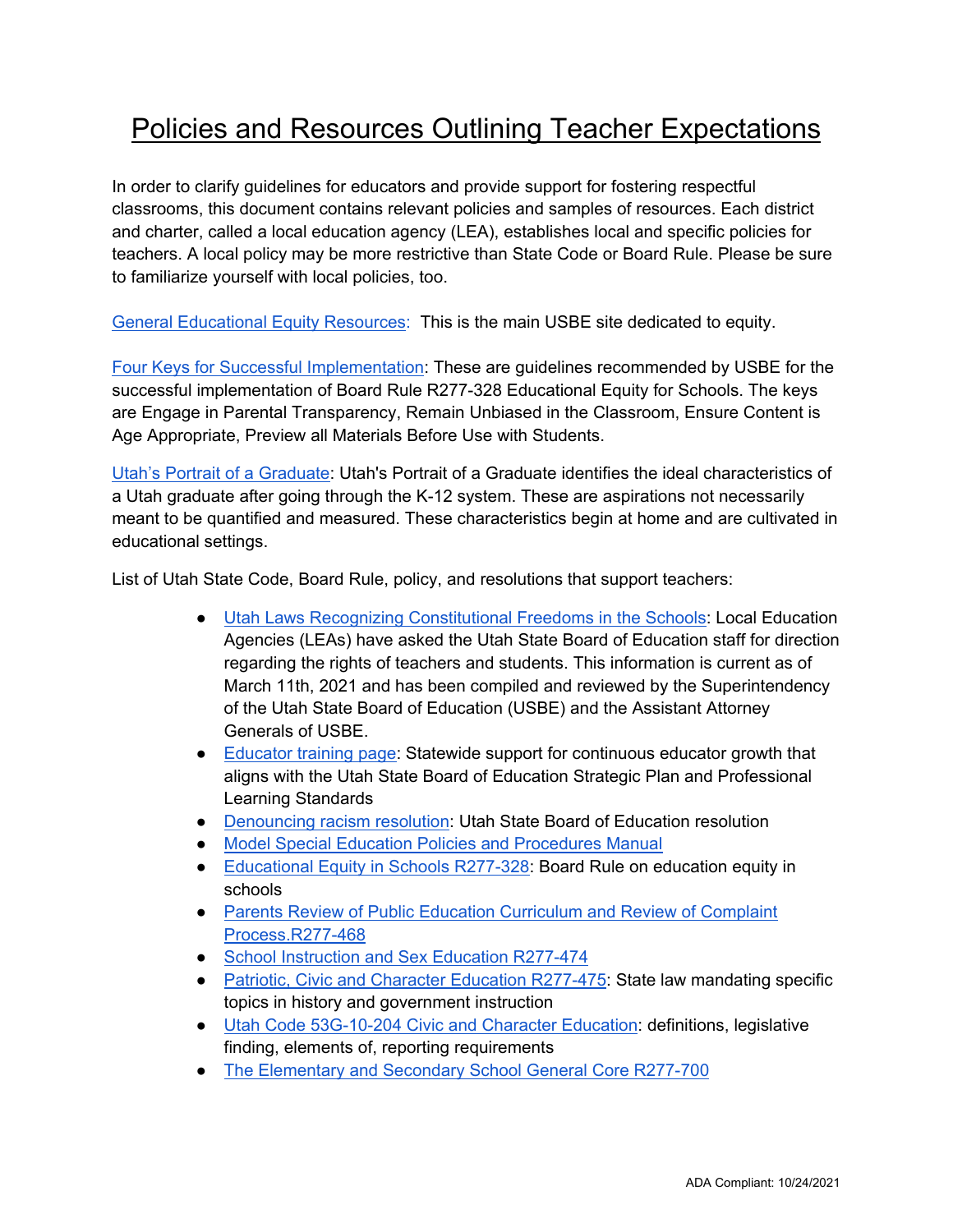## Policies and Resources Outlining Teacher Expectations

In order to clarify guidelines for educators and provide support for fostering respectful classrooms, this document contains relevant policies and samples of resources. Each district and charter, called a local education agency (LEA), establishes local and specific policies for teachers. A local policy may be more restrictive than State Code or Board Rule. Please be sure to familiarize yourself with local policies, too.

[General Educational Equity Resources:](https://www.schools.utah.gov/educationalequity/resources) This is the main USBE site dedicated to equity.

[Four Keys for Successful Implementation:](https://www.schools.utah.gov/file/609cf4a6-f46d-4f5a-8089-d50b375289c2) These are guidelines recommended by USBE for the successful implementation of Board Rule R277-328 Educational Equity for Schools. The keys are Engage in Parental Transparency, Remain Unbiased in the Classroom, Ensure Content is Age Appropriate, Preview all Materials Before Use with Students.

[Utah's Portrait of a Graduate:](https://www.schools.utah.gov/portraitgraduate) Utah's Portrait of a Graduate identifies the ideal characteristics of a Utah graduate after going through the K-12 system. These are aspirations not necessarily meant to be quantified and measured. These characteristics begin at home and are cultivated in educational settings.

List of Utah State Code, Board Rule, policy, and resolutions that support teachers:

- [Utah Laws Recognizing Constitutional Freedoms in the Schools:](https://www.schools.utah.gov/file/ff8eda08-5e14-4d60-bfb2-55ebae6298d3) Local Education Agencies (LEAs) have asked the Utah State Board of Education staff for direction regarding the rights of teachers and students. This information is current as of March 11th, 2021 and has been compiled and reviewed by the Superintendency of the Utah State Board of Education (USBE) and the Assistant Attorney Generals of USBE.
- [Educator training page:](https://www.schools.utah.gov/curr/educatordevelopment) Statewide support for continuous educator growth that aligns with the Utah State Board of Education Strategic Plan and Professional Learning Standards
- [Denouncing racism resolution:](https://www.schools.utah.gov/file/40b98ac3-1465-481e-b163-433a0c0fe09f) Utah State Board of Education resolution
- [Model Special Education Policies and Procedures Manual](https://www.schools.utah.gov/file/cf12169a-5430-43d2-954b-f9dc47aa101f)
- [Educational Equity in Schools R277-328:](https://www.schools.utah.gov/file/722ef396-b45a-4dbb-a974-00a9d9dbcac0) Board Rule on education equity in schools
- [Parents Review of Public Education Curriculum and Review of Complaint](https://www.schools.utah.gov/file/2883b699-4f6d-4b23-b954-86db776e11d9) [Process.R277-468](https://www.schools.utah.gov/file/2883b699-4f6d-4b23-b954-86db776e11d9)
- [School Instruction and Sex Education R277-474](https://www.schools.utah.gov/file/96361a05-763d-4edb-9df3-dad6e2a1f40b)
- [Patriotic, Civic and Character Education R277-475:](https://www.schools.utah.gov/file/ed89a548-83ad-421e-aabb-82acfeb80337) State law mandating specific topics in history and government instruction
- [Utah Code 53G-10-204 Civic and Character Education:](https://le.utah.gov/xcode/Title53G/Chapter10/53G-10-S204.html) definitions, legislative finding, elements of, reporting requirements
- [The Elementary and Secondary School General Core R277-700](https://www.schools.utah.gov/file/87566e17-47ee-4f0d-9bd4-28ef5f947bc8)